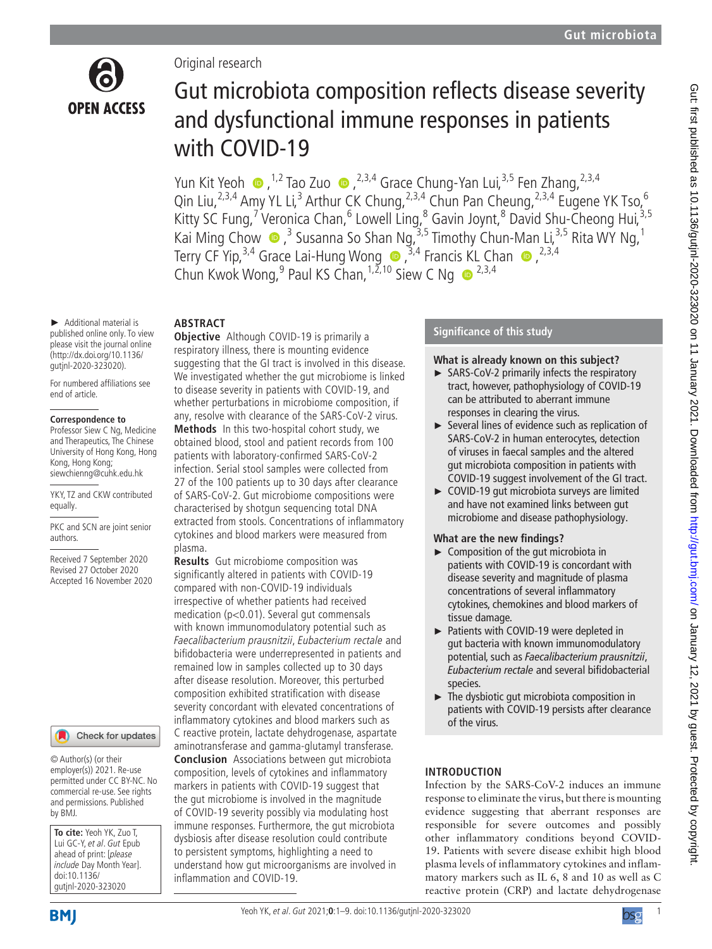

# Original research

# Gut microbiota composition reflects disease severity and dysfunctional immune responses in patients with COVID-19

Yun Kit Yeoh  $\bullet$ , <sup>1,2</sup> Tao Zuo  $\bullet$ , <sup>2,3,4</sup> Grace Chung-Yan Lui, <sup>3,5</sup> Fen Zhang, <sup>2,3,4</sup> Qin Liu,<sup>2,3,4</sup> Amy YL Li,<sup>3</sup> Arthur CK Chung,<sup>2,3,4</sup> Chun Pan Cheung,<sup>2,3,4</sup> Eugene YK Tso,<sup>6</sup> Kitty SC Fung,<sup>7</sup> Veronica Chan,<sup>6</sup> Lowell Ling,<sup>8</sup> Gavin Joynt,<sup>8</sup> David Shu-Cheong Hui,<sup>3,5</sup> Kai Ming Chow  $\bullet$  ,<sup>3</sup> Susanna So Shan Ng,<sup>3,5</sup> Timothy Chun-Man Li,<sup>3,5</sup> Rita WY Ng,<sup>1</sup> Terry CF Yip,<sup>3,4</sup> Grace Lai-Hung Wong  $\bullet$  ,<sup>3,4</sup> Francis KL Chan  $\bullet$  ,<sup>2,3,4</sup> Chun Kwok Wong, <sup>9</sup> Paul KS Chan, <sup>1,2,10</sup> Siew C Ng  $\bullet$  <sup>2,3,4</sup>

#### ► Additional material is published online only. To view please visit the journal online (http://dx.doi.org/10.1136/ gutjnl-2020-323020).

For numbered affiliations see end of article.

#### **Correspondence to**

Professor Siew C Ng, Medicine and Therapeutics, The Chinese University of Hong Kong, Hong Kong, Hong Kong; siewchienng@cuhk.edu.hk

YKY, TZ and CKW contributed equally.

PKC and SCN are joint senior authors.

Received 7 September 2020 Revised 27 October 2020 Accepted 16 November 2020



© Author(s) (or their employer(s)) 2021. Re-use permitted under CC BY-NC. No commercial re-use. See rights and permissions. Published by BMJ.

**To cite:** Yeoh YK, Zuo T, Lui GC-Y, et al. Gut Epub ahead of print: [please include Day Month Year]. doi:10.1136/ gutjnl-2020-323020

**ABSTRACT**

**Objective** Although COVID-19 is primarily a respiratory illness, there is mounting evidence suggesting that the GI tract is involved in this disease. We investigated whether the gut microbiome is linked to disease severity in patients with COVID-19, and whether perturbations in microbiome composition, if any, resolve with clearance of the SARS-CoV-2 virus. **Methods** In this two-hospital cohort study, we obtained blood, stool and patient records from 100 patients with laboratory-confirmed SARS-CoV-2 infection. Serial stool samples were collected from 27 of the 100 patients up to 30 days after clearance of SARS-CoV-2. Gut microbiome compositions were characterised by shotgun sequencing total DNA extracted from stools. Concentrations of inflammatory cytokines and blood markers were measured from plasma.

**Results** Gut microbiome composition was significantly altered in patients with COVID-19 compared with non-COVID-19 individuals irrespective of whether patients had received medication (p<0.01). Several gut commensals with known immunomodulatory potential such as Faecalibacterium prausnitzii, Eubacterium rectale and bifidobacteria were underrepresented in patients and remained low in samples collected up to 30 days after disease resolution. Moreover, this perturbed composition exhibited stratification with disease severity concordant with elevated concentrations of inflammatory cytokines and blood markers such as C reactive protein, lactate dehydrogenase, aspartate aminotransferase and gamma-glutamyl transferase.

**Conclusion** Associations between gut microbiota composition, levels of cytokines and inflammatory markers in patients with COVID-19 suggest that the gut microbiome is involved in the magnitude of COVID-19 severity possibly via modulating host immune responses. Furthermore, the gut microbiota dysbiosis after disease resolution could contribute to persistent symptoms, highlighting a need to understand how gut microorganisms are involved in inflammation and COVID-19.

# **Significance of this study**

# **What is already known on this subject?**

- ► SARS-CoV-2 primarily infects the respiratory tract, however, pathophysiology of COVID-19 can be attributed to aberrant immune responses in clearing the virus.
- ► Several lines of evidence such as replication of SARS-CoV-2 in human enterocytes, detection of viruses in faecal samples and the altered gut microbiota composition in patients with COVID-19 suggest involvement of the GI tract.
- ► COVID-19 gut microbiota surveys are limited and have not examined links between gut microbiome and disease pathophysiology.

# **What are the new findings?**

- ► Composition of the gut microbiota in patients with COVID-19 is concordant with disease severity and magnitude of plasma concentrations of several inflammatory cytokines, chemokines and blood markers of tissue damage.
- ► Patients with COVID-19 were depleted in gut bacteria with known immunomodulatory potential, such as *Faecalibacterium prausnitzii*, *Eubacterium rectale* and several bifidobacterial species.
- ► The dysbiotic gut microbiota composition in patients with COVID-19 persists after clearance of the virus.

# **INTRODUCTION**

Infection by the SARS-CoV-2 induces an immune response to eliminate the virus, but there is mounting evidence suggesting that aberrant responses are responsible for severe outcomes and possibly other inflammatory conditions beyond COVID-19. Patients with severe disease exhibit high blood plasma levels of inflammatory cytokines and inflammatory markers such as IL 6, 8 and 10 as well as C reactive protein (CRP) and lactate dehydrogenase



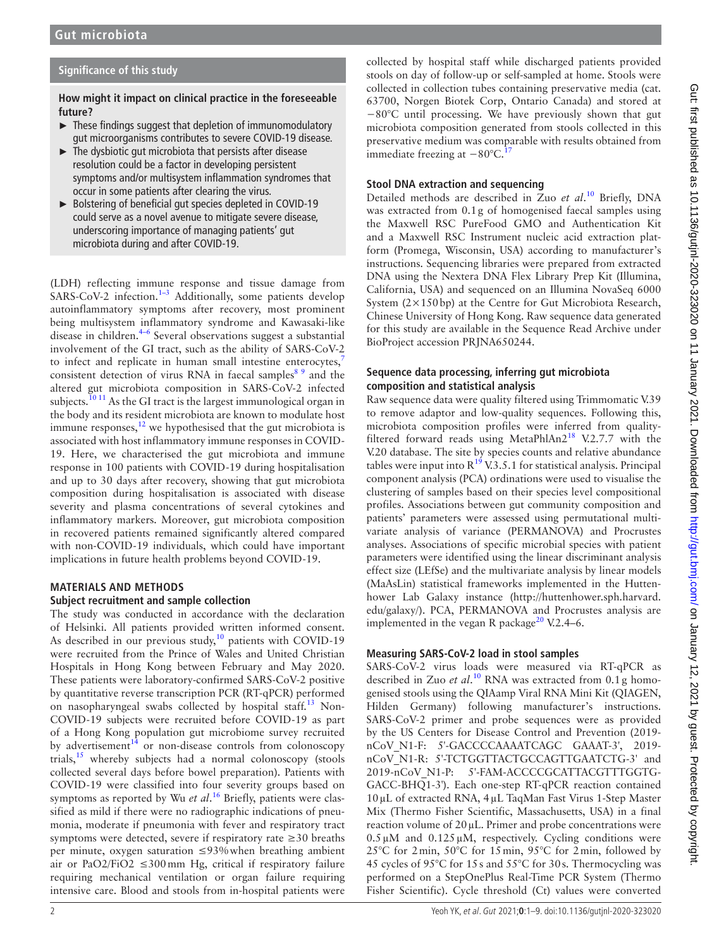# **Significance of this study**

**How might it impact on clinical practice in the foreseeable future?**

- $\blacktriangleright$  These findings suggest that depletion of immunomodulatory gut microorganisms contributes to severe COVID-19 disease.
- $\blacktriangleright$  The dysbiotic gut microbiota that persists after disease resolution could be a factor in developing persistent symptoms and/or multisystem inflammation syndromes that occur in some patients after clearing the virus.
- ► Bolstering of beneficial gut species depleted in COVID-19 could serve as a novel avenue to mitigate severe disease, underscoring importance of managing patients' gut microbiota during and after COVID-19.

(LDH) reflecting immune response and tissue damage from SARS-CoV-2 infection.<sup>1-3</sup> Additionally, some patients develop autoinflammatory symptoms after recovery, most prominent being multisystem inflammatory syndrome and Kawasaki-like disease in children.<sup>4–6</sup> Several observations suggest a substantial involvement of the GI tract, such as the ability of SARS-CoV-2 to infect and replicate in human small intestine enterocytes,<sup>7</sup> consistent detection of virus RNA in faecal samples<sup>8 9</sup> and the altered gut microbiota composition in SARS-CoV-2 infected subjects.<sup>10 11</sup> As the GI tract is the largest immunological organ in the body and its resident microbiota are known to modulate host immune responses, $^{12}$  we hypothesised that the gut microbiota is associated with host inflammatory immune responses in COVID-19. Here, we characterised the gut microbiota and immune response in 100 patients with COVID-19 during hospitalisation and up to 30 days after recovery, showing that gut microbiota composition during hospitalisation is associated with disease severity and plasma concentrations of several cytokines and inflammatory markers. Moreover, gut microbiota composition in recovered patients remained significantly altered compared with non-COVID-19 individuals, which could have important implications in future health problems beyond COVID-19.

# **MATERIALS AND METHODS**

## **Subject recruitment and sample collection**

The study was conducted in accordance with the declaration of Helsinki. All patients provided written informed consent. As described in our previous study, $10$  patients with COVID-19 were recruited from the Prince of Wales and United Christian Hospitals in Hong Kong between February and May 2020. These patients were laboratory-confirmed SARS-CoV-2 positive by quantitative reverse transcription PCR (RT-qPCR) performed on nasopharyngeal swabs collected by hospital staff.<sup>13</sup> Non-COVID-19 subjects were recruited before COVID-19 as part of a Hong Kong population gut microbiome survey recruited by advertisement $14$  or non-disease controls from colonoscopy trials, $^{15}$  whereby subjects had a normal colonoscopy (stools collected several days before bowel preparation). Patients with COVID-19 were classified into four severity groups based on symptoms as reported by Wu *et al*. 16 Briefly, patients were classified as mild if there were no radiographic indications of pneumonia, moderate if pneumonia with fever and respiratory tract symptoms were detected, severe if respiratory rate  $\geq 30$  breaths per minute, oxygen saturation ≤93%when breathing ambient air or PaO2/FiO2  $\leq$ 300 mm Hg, critical if respiratory failure requiring mechanical ventilation or organ failure requiring intensive care. Blood and stools from in-hospital patients were

collected by hospital staff while discharged patients provided stools on day of follow-up or self-sampled at home. Stools were collected in collection tubes containing preservative media (cat. 63700, Norgen Biotek Corp, Ontario Canada) and stored at −80°C until processing. We have previously shown that gut microbiota composition generated from stools collected in this preservative medium was comparable with results obtained from immediate freezing at  $-80^{\circ}$ C.<sup>17</sup>

## **Stool DNA extraction and sequencing**

Detailed methods are described in Zuo *et al*. 10 Briefly, DNA was extracted from 0.1g of homogenised faecal samples using the Maxwell RSC PureFood GMO and Authentication Kit and a Maxwell RSC Instrument nucleic acid extraction platform (Promega, Wisconsin, USA) according to manufacturer's instructions. Sequencing libraries were prepared from extracted DNA using the Nextera DNA Flex Library Prep Kit (Illumina, California, USA) and sequenced on an Illumina NovaSeq 6000 System (2×150bp) at the Centre for Gut Microbiota Research, Chinese University of Hong Kong. Raw sequence data generated for this study are available in the Sequence Read Archive under BioProject accession PRJNA650244.

## **Sequence data processing, inferring gut microbiota composition and statistical analysis**

Raw sequence data were quality filtered using Trimmomatic V.39 to remove adaptor and low-quality sequences. Following this, microbiota composition profiles were inferred from qualityfiltered forward reads using MetaPhlAn2<sup>18</sup> V.2.7.7 with the V.20 database. The site by species counts and relative abundance tables were input into  $R^{19}$  V.3.5.1 for statistical analysis. Principal component analysis (PCA) ordinations were used to visualise the clustering of samples based on their species level compositional profiles. Associations between gut community composition and patients' parameters were assessed using permutational multivariate analysis of variance (PERMANOVA) and Procrustes analyses. Associations of specific microbial species with patient parameters were identified using the linear discriminant analysis effect size (LEfSe) and the multivariate analysis by linear models (MaAsLin) statistical frameworks implemented in the Huttenhower Lab Galaxy instance (http://huttenhower.sph.harvard. edu/galaxy/). PCA, PERMANOVA and Procrustes analysis are implemented in the vegan R package<sup>20</sup> V.2.4–6.

# **Measuring SARS-CoV-2 load in stool samples**

SARS-CoV-2 virus loads were measured via RT-qPCR as described in Zuo *et al*. 10 RNA was extracted from 0.1g homogenised stools using the QIAamp Viral RNA Mini Kit (QIAGEN, Hilden Germany) following manufacturer's instructions. SARS-CoV-2 primer and probe sequences were as provided by the US Centers for Disease Control and Prevention (2019 nCoV\_N1-F: 5'-GACCCCAAAATCAGC GAAAT-3', 2019 nCoV\_N1-R: 5'-TCTGGTTACTGCCAGTTGAATCTG-3' and 2019-nCoV\_N1-P: 5'-FAM-ACCCCGCATTACGTTTGGTG-GACC-BHQ1-3'). Each one-step RT-qPCR reaction contained 10µL of extracted RNA, 4µL TaqMan Fast Virus 1-Step Master Mix (Thermo Fisher Scientific, Massachusetts, USA) in a final reaction volume of 20µL. Primer and probe concentrations were  $0.5 \mu M$  and  $0.125 \mu M$ , respectively. Cycling conditions were 25°C for 2min, 50°C for 15min, 95°C for 2min, followed by 45 cycles of 95°C for 15s and 55°C for 30s. Thermocycling was performed on a StepOnePlus Real-Time PCR System (Thermo Fisher Scientific). Cycle threshold (Ct) values were converted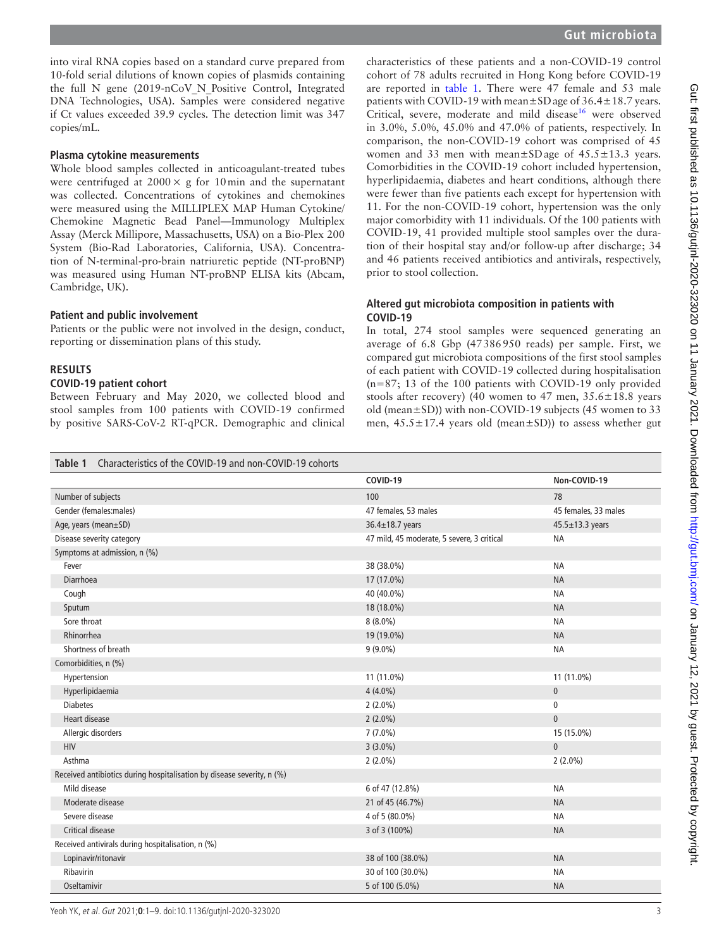into viral RNA copies based on a standard curve prepared from 10-fold serial dilutions of known copies of plasmids containing the full N gene (2019-nCoV\_N\_Positive Control, Integrated DNA Technologies, USA). Samples were considered negative if Ct values exceeded 39.9 cycles. The detection limit was 347 copies/mL.

#### **Plasma cytokine measurements**

Whole blood samples collected in anticoagulant-treated tubes were centrifuged at  $2000 \times g$  for 10 min and the supernatant was collected. Concentrations of cytokines and chemokines were measured using the MILLIPLEX MAP Human Cytokine/ Chemokine Magnetic Bead Panel—Immunology Multiplex Assay (Merck Millipore, Massachusetts, USA) on a Bio-Plex 200 System (Bio-Rad Laboratories, California, USA). Concentration of N-terminal-pro-brain natriuretic peptide (NT-proBNP) was measured using Human NT-proBNP ELISA kits (Abcam, Cambridge, UK).

#### **Patient and public involvement**

Patients or the public were not involved in the design, conduct, reporting or dissemination plans of this study.

#### **RESULTS**

#### **COVID-19 patient cohort**

Between February and May 2020, we collected blood and stool samples from 100 patients with COVID-19 confirmed by positive SARS-CoV-2 RT-qPCR. Demographic and clinical

characteristics of these patients and a non-COVID-19 control cohort of 78 adults recruited in Hong Kong before COVID-19 are reported in table 1. There were 47 female and 53 male patients with COVID-19 with mean±SDage of 36.4±18.7 years. Critical, severe, moderate and mild disease<sup>16</sup> were observed in 3.0%, 5.0%, 45.0% and 47.0% of patients, respectively. In comparison, the non-COVID-19 cohort was comprised of 45 women and 33 men with mean±SDage of  $45.5 \pm 13.3$  years. Comorbidities in the COVID-19 cohort included hypertension, hyperlipidaemia, diabetes and heart conditions, although there were fewer than five patients each except for hypertension with 11. For the non-COVID-19 cohort, hypertension was the only major comorbidity with 11 individuals. Of the 100 patients with COVID-19, 41 provided multiple stool samples over the duration of their hospital stay and/or follow-up after discharge; 34 and 46 patients received antibiotics and antivirals, respectively, prior to stool collection.

## **Altered gut microbiota composition in patients with COVID-19**

In total, 274 stool samples were sequenced generating an average of 6.8 Gbp (47386950 reads) per sample. First, we compared gut microbiota compositions of the first stool samples of each patient with COVID-19 collected during hospitalisation (n=87; 13 of the 100 patients with COVID-19 only provided stools after recovery) (40 women to 47 men,  $35.6 \pm 18.8$  years old (mean±SD)) with non-COVID-19 subjects (45 women to 33 men,  $45.5 \pm 17.4$  years old (mean $\pm$ SD)) to assess whether gut

#### **Table 1** Characteristics of the COVID-19 and non-COVID-19 cohorts

|                                                                        | COVID-19                                   | Non-COVID-19          |  |  |  |  |
|------------------------------------------------------------------------|--------------------------------------------|-----------------------|--|--|--|--|
| Number of subjects                                                     | 100                                        | 78                    |  |  |  |  |
| Gender (females:males)                                                 | 47 females, 53 males                       | 45 females, 33 males  |  |  |  |  |
| Age, years (mean±SD)                                                   | 36.4±18.7 years                            | $45.5 \pm 13.3$ years |  |  |  |  |
| Disease severity category                                              | 47 mild, 45 moderate, 5 severe, 3 critical | <b>NA</b>             |  |  |  |  |
| Symptoms at admission, n (%)                                           |                                            |                       |  |  |  |  |
| Fever                                                                  | 38 (38.0%)                                 | <b>NA</b>             |  |  |  |  |
| Diarrhoea                                                              | 17 (17.0%)                                 | <b>NA</b>             |  |  |  |  |
| Cough                                                                  | 40 (40.0%)                                 | <b>NA</b>             |  |  |  |  |
| Sputum                                                                 | 18 (18.0%)                                 | <b>NA</b>             |  |  |  |  |
| Sore throat                                                            | $8(8.0\%)$                                 | <b>NA</b>             |  |  |  |  |
| Rhinorrhea                                                             | 19 (19.0%)                                 | <b>NA</b>             |  |  |  |  |
| Shortness of breath                                                    | $9(9.0\%)$                                 | <b>NA</b>             |  |  |  |  |
| Comorbidities, n (%)                                                   |                                            |                       |  |  |  |  |
| Hypertension                                                           | 11 (11.0%)                                 | 11 (11.0%)            |  |  |  |  |
| Hyperlipidaemia                                                        | $4(4.0\%)$                                 | $\mathbf{0}$          |  |  |  |  |
| <b>Diabetes</b>                                                        | $2(2.0\%)$                                 | $\mathbf 0$           |  |  |  |  |
| <b>Heart disease</b>                                                   | $2(2.0\%)$<br>$\mathbf{0}$                 |                       |  |  |  |  |
| Allergic disorders                                                     | $7(7.0\%)$<br>15 (15.0%)                   |                       |  |  |  |  |
| <b>HIV</b>                                                             | $3(3.0\%)$                                 | $\overline{0}$        |  |  |  |  |
| Asthma                                                                 | $2(2.0\%)$                                 | $2(2.0\%)$            |  |  |  |  |
| Received antibiotics during hospitalisation by disease severity, n (%) |                                            |                       |  |  |  |  |
| Mild disease                                                           | 6 of 47 (12.8%)                            | <b>NA</b>             |  |  |  |  |
| Moderate disease                                                       | 21 of 45 (46.7%)                           | <b>NA</b>             |  |  |  |  |
| Severe disease                                                         | 4 of 5 (80.0%)                             | <b>NA</b>             |  |  |  |  |
| Critical disease                                                       | 3 of 3 (100%)                              | <b>NA</b>             |  |  |  |  |
| Received antivirals during hospitalisation, n (%)                      |                                            |                       |  |  |  |  |
| Lopinavir/ritonavir                                                    | 38 of 100 (38.0%)                          | <b>NA</b>             |  |  |  |  |
| Ribavirin                                                              | 30 of 100 (30.0%)                          | <b>NA</b>             |  |  |  |  |
| Oseltamivir                                                            | 5 of 100 (5.0%)                            | <b>NA</b>             |  |  |  |  |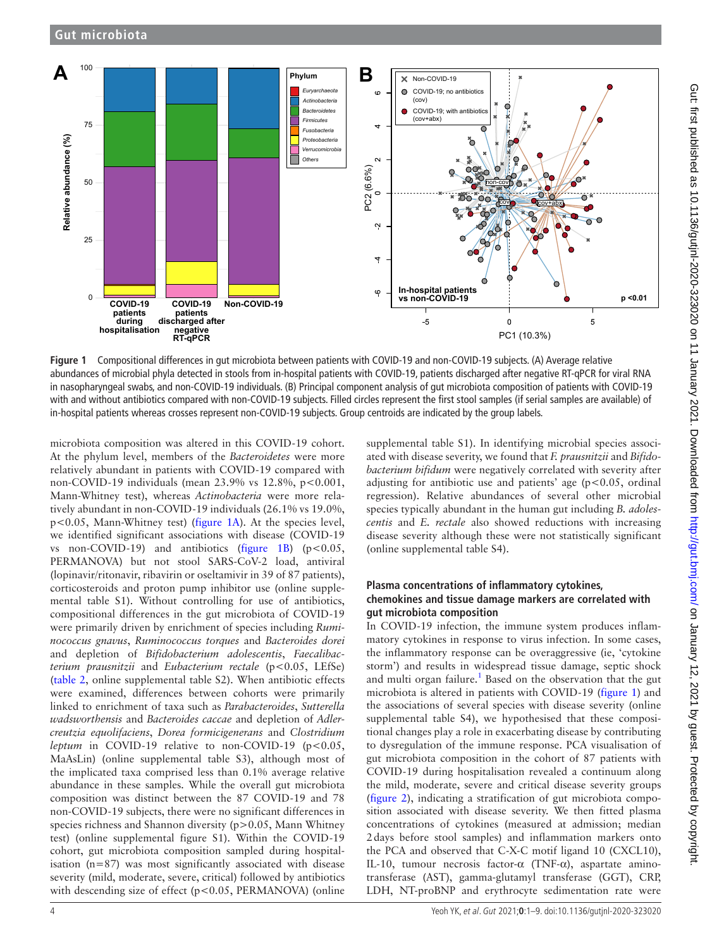

**Figure 1** Compositional differences in gut microbiota between patients with COVID-19 and non-COVID-19 subjects. (A) Average relative abundances of microbial phyla detected in stools from in-hospital patients with COVID-19, patients discharged after negative RT-qPCR for viral RNA in nasopharyngeal swabs, and non-COVID-19 individuals. (B) Principal component analysis of gut microbiota composition of patients with COVID-19 with and without antibiotics compared with non-COVID-19 subjects. Filled circles represent the first stool samples (if serial samples are available) of in-hospital patients whereas crosses represent non-COVID-19 subjects. Group centroids are indicated by the group labels.

microbiota composition was altered in this COVID-19 cohort. At the phylum level, members of the *Bacteroidetes* were more relatively abundant in patients with COVID-19 compared with non-COVID-19 individuals (mean 23.9% vs 12.8%, p<0.001, Mann-Whitney test), whereas *Actinobacteria* were more relatively abundant in non-COVID-19 individuals (26.1% vs 19.0%, p<0.05, Mann-Whitney test) (figure 1A). At the species level, we identified significant associations with disease (COVID-19 vs non-COVID-19) and antibiotics (figure 1B) ( $p < 0.05$ , PERMANOVA) but not stool SARS-CoV-2 load, antiviral (lopinavir/ritonavir, ribavirin or oseltamivir in 39 of 87 patients), corticosteroids and proton pump inhibitor use (online supplemental table S1). Without controlling for use of antibiotics, compositional differences in the gut microbiota of COVID-19 were primarily driven by enrichment of species including *Ruminococcus gnavus*, *Ruminococcus torques* and *Bacteroides dorei* and depletion of *Bifidobacterium adolescentis*, *Faecalibacterium prausnitzii* and *Eubacterium rectale* (p<0.05, LEfSe) (table 2, online supplemental table S2). When antibiotic effects were examined, differences between cohorts were primarily linked to enrichment of taxa such as *Parabacteroides*, *Sutterella wadsworthensis* and *Bacteroides caccae* and depletion of *Adlercreutzia equolifaciens*, *Dorea formicigenerans* and *Clostridium leptum* in COVID-19 relative to non-COVID-19 ( $p < 0.05$ , MaAsLin) (online supplemental table S3), although most of the implicated taxa comprised less than 0.1% average relative abundance in these samples. While the overall gut microbiota composition was distinct between the 87 COVID-19 and 78 non-COVID-19 subjects, there were no significant differences in species richness and Shannon diversity  $(p>0.05,$  Mann Whitney test) (online supplemental figure S1). Within the COVID-19 cohort, gut microbiota composition sampled during hospitalisation (n=87) was most significantly associated with disease severity (mild, moderate, severe, critical) followed by antibiotics with descending size of effect (p<0.05, PERMANOVA) (online

supplemental table S1). In identifying microbial species associated with disease severity, we found that *F. prausnitzii* and *Bifidobacterium bifidum* were negatively correlated with severity after adjusting for antibiotic use and patients' age ( $p$ <0.05, ordinal regression). Relative abundances of several other microbial species typically abundant in the human gut including *B. adolescentis* and *E. rectale* also showed reductions with increasing disease severity although these were not statistically significant (online supplemental table S4).

## **Plasma concentrations of inflammatory cytokines, chemokines and tissue damage markers are correlated with gut microbiota composition**

In COVID-19 infection, the immune system produces inflammatory cytokines in response to virus infection. In some cases, the inflammatory response can be overaggressive (ie, 'cytokine storm') and results in widespread tissue damage, septic shock and multi organ failure.<sup>1</sup> Based on the observation that the gut microbiota is altered in patients with COVID-19 (figure 1) and the associations of several species with disease severity (online supplemental table S4), we hypothesised that these compositional changes play a role in exacerbating disease by contributing to dysregulation of the immune response. PCA visualisation of gut microbiota composition in the cohort of 87 patients with COVID-19 during hospitalisation revealed a continuum along the mild, moderate, severe and critical disease severity groups (figure 2), indicating a stratification of gut microbiota composition associated with disease severity. We then fitted plasma concentrations of cytokines (measured at admission; median 2days before stool samples) and inflammation markers onto the PCA and observed that C-X-C motif ligand 10 (CXCL10), IL-10, tumour necrosis factor-α (TNF-α), aspartate aminotransferase (AST), gamma-glutamyl transferase (GGT), CRP, LDH, NT-proBNP and erythrocyte sedimentation rate were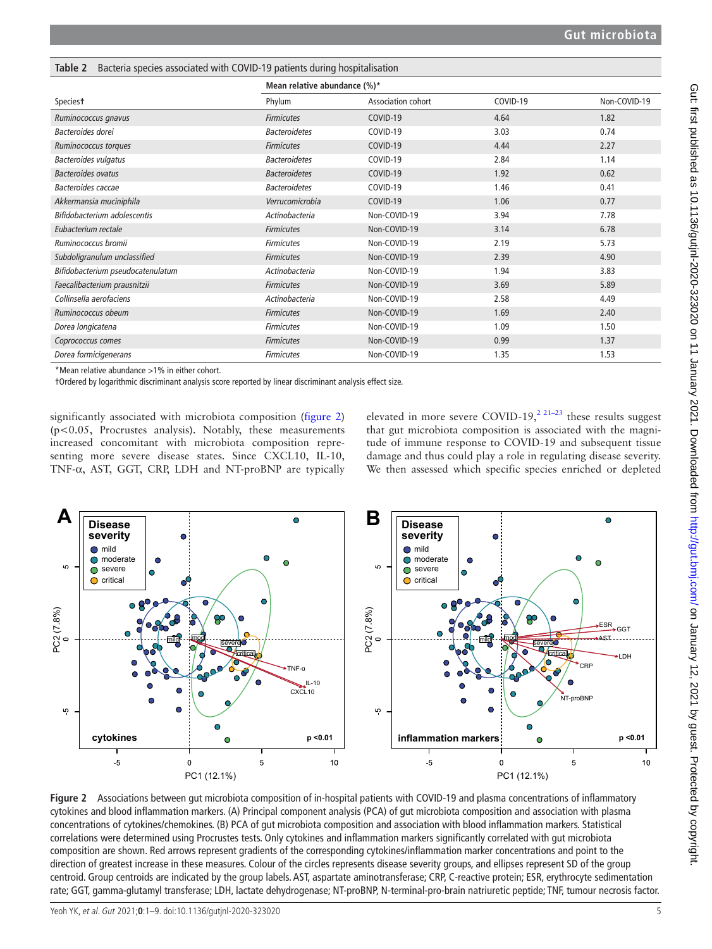| Speciest                                              |                      | Mean relative abundance (%)* |          |              |  |  |
|-------------------------------------------------------|----------------------|------------------------------|----------|--------------|--|--|
|                                                       | Phylum               | Association cohort           | COVID-19 | Non-COVID-19 |  |  |
| Ruminococcus gnavus                                   | <b>Firmicutes</b>    | COVID-19                     | 4.64     | 1.82         |  |  |
| Bacteroides dorei                                     | <b>Bacteroidetes</b> | COVID-19                     | 3.03     | 0.74         |  |  |
| Ruminococcus torques                                  | <b>Firmicutes</b>    | COVID-19                     | 4.44     | 2.27         |  |  |
| Bacteroides vulgatus                                  | <b>Bacteroidetes</b> | COVID-19                     | 2.84     | 1.14         |  |  |
| <b>Bacteroides ovatus</b>                             | <b>Bacteroidetes</b> | COVID-19                     | 1.92     | 0.62         |  |  |
| Bacteroides caccae                                    | <b>Bacteroidetes</b> | COVID-19                     | 1.46     | 0.41         |  |  |
| Akkermansia muciniphila                               | Verrucomicrobia      | COVID-19                     | 1.06     | 0.77         |  |  |
| Bifidobacterium adolescentis                          | Actinobacteria       | Non-COVID-19                 | 3.94     | 7.78         |  |  |
| Eubacterium rectale                                   | <b>Firmicutes</b>    | Non-COVID-19                 | 3.14     | 6.78         |  |  |
| Ruminococcus bromii                                   | <b>Firmicutes</b>    | Non-COVID-19                 | 2.19     | 5.73         |  |  |
| Subdoligranulum unclassified                          | <b>Firmicutes</b>    | Non-COVID-19                 | 2.39     | 4.90         |  |  |
| Bifidobacterium pseudocatenulatum                     | Actinobacteria       | Non-COVID-19                 | 1.94     | 3.83         |  |  |
| Faecalibacterium prausnitzii                          | <b>Firmicutes</b>    | Non-COVID-19                 | 3.69     | 5.89         |  |  |
| Collinsella aerofaciens                               | Actinobacteria       | Non-COVID-19                 | 2.58     | 4.49         |  |  |
| Ruminococcus obeum                                    | <b>Firmicutes</b>    | Non-COVID-19                 | 1.69     | 2.40         |  |  |
| Dorea longicatena                                     | <b>Firmicutes</b>    | Non-COVID-19                 | 1.09     | 1.50         |  |  |
| Coprococcus comes                                     | <b>Firmicutes</b>    | Non-COVID-19                 | 0.99     | 1.37         |  |  |
| Dorea formicigenerans                                 | <b>Firmicutes</b>    | Non-COVID-19                 | 1.35     | 1.53         |  |  |
| *Mean relative abundance $\cdot$ 10/ in either cabort |                      |                              |          |              |  |  |

#### **Table 2** Bacteria species associated with COVID-19 patients during hospitalisation

Mean relative abundance  $>1\%$  in either cohort.

†Ordered by logarithmic discriminant analysis score reported by linear discriminant analysis effect size.

significantly associated with microbiota composition (figure 2) (p<0.05, Procrustes analysis). Notably, these measurements increased concomitant with microbiota composition representing more severe disease states. Since CXCL10, IL-10, TNF-α, AST, GGT, CRP, LDH and NT-proBNP are typically elevated in more severe COVID-19,<sup>2 21–23</sup> these results suggest that gut microbiota composition is associated with the magnitude of immune response to COVID-19 and subsequent tissue damage and thus could play a role in regulating disease severity. We then assessed which specific species enriched or depleted



**Figure 2** Associations between gut microbiota composition of in-hospital patients with COVID-19 and plasma concentrations of inflammatory cytokines and blood inflammation markers. (A) Principal component analysis (PCA) of gut microbiota composition and association with plasma concentrations of cytokines/chemokines. (B) PCA of gut microbiota composition and association with blood inflammation markers. Statistical correlations were determined using Procrustes tests. Only cytokines and inflammation markers significantly correlated with gut microbiota composition are shown. Red arrows represent gradients of the corresponding cytokines/inflammation marker concentrations and point to the direction of greatest increase in these measures. Colour of the circles represents disease severity groups, and ellipses represent SD of the group centroid. Group centroids are indicated by the group labels. AST, aspartate aminotransferase; CRP, C-reactive protein; ESR, erythrocyte sedimentation rate; GGT, gamma-glutamyl transferase; LDH, lactate dehydrogenase; NT-proBNP, N-terminal-pro-brain natriuretic peptide; TNF, tumour necrosis factor.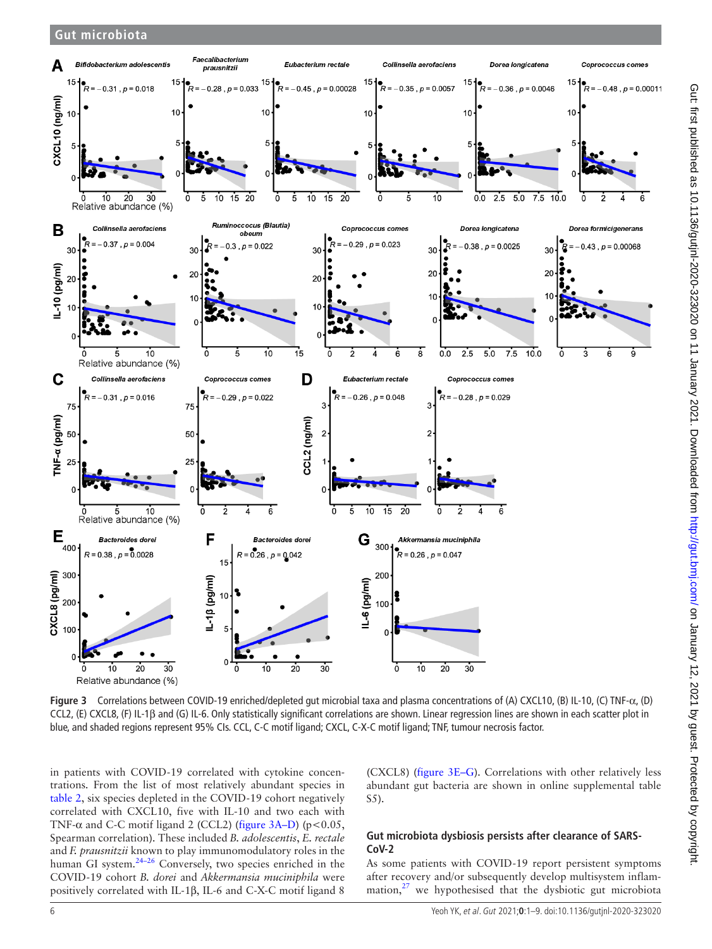

**Figure 3** Correlations between COVID-19 enriched/depleted gut microbial taxa and plasma concentrations of (A) CXCL10, (B) IL-10, (C) TNF-α, (D) CCL2, (E) CXCL8, (F) IL-1β and (G) IL-6. Only statistically significant correlations are shown. Linear regression lines are shown in each scatter plot in blue, and shaded regions represent 95% CIs. CCL, C-C motif ligand; CXCL, C-X-C motif ligand; TNF, tumour necrosis factor.

in patients with COVID-19 correlated with cytokine concentrations. From the list of most relatively abundant species in table 2, six species depleted in the COVID-19 cohort negatively correlated with CXCL10, five with IL-10 and two each with TNF- $\alpha$  and C-C motif ligand 2 (CCL2) (figure 3A–D) (p<0.05, Spearman correlation). These included *B. adolescentis*, *E. rectale* and *F. prausnitzii* known to play immunomodulatory roles in the human GI system.<sup>24–26</sup> Conversely, two species enriched in the COVID-19 cohort *B. dorei* and *Akkermansia muciniphila* were positively correlated with IL-1β, IL-6 and C-X-C motif ligand 8

(CXCL8) (figure 3E–G). Correlations with other relatively less abundant gut bacteria are shown in online supplemental table S5).

## **Gut microbiota dysbiosis persists after clearance of SARS-CoV-2**

As some patients with COVID-19 report persistent symptoms after recovery and/or subsequently develop multisystem inflammation, $27$  we hypothesised that the dysbiotic gut microbiota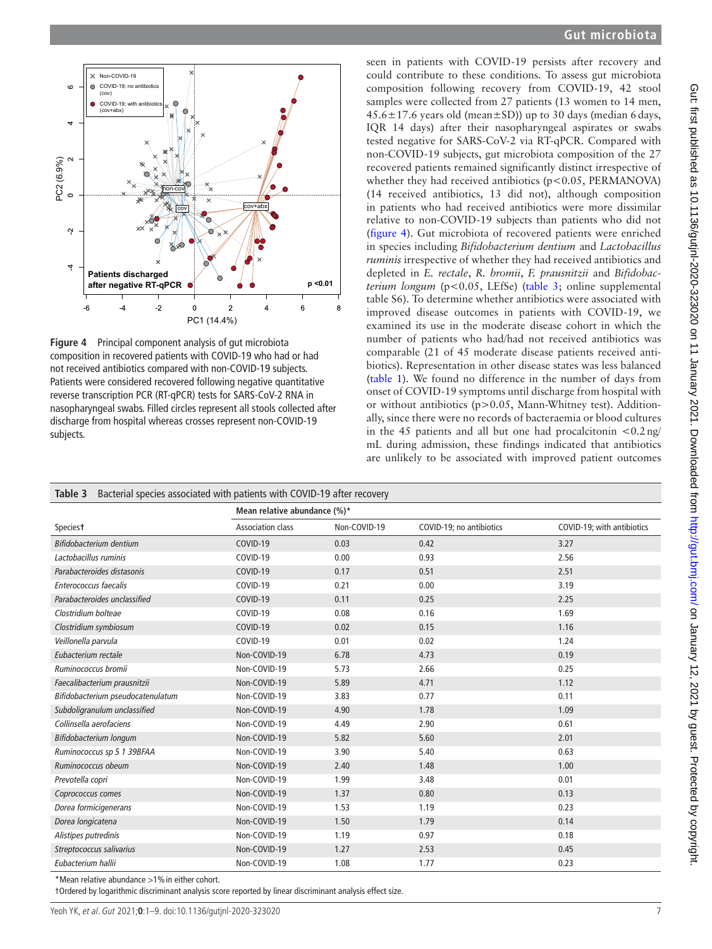

**Figure 4** Principal component analysis of gut microbiota composition in recovered patients with COVID-19 who had or had not received antibiotics compared with non-COVID-19 subjects. Patients were considered recovered following negative quantitative reverse transcription PCR (RT-qPCR) tests for SARS-CoV-2 RNA in nasopharyngeal swabs. Filled circles represent all stools collected after discharge from hospital whereas crosses represent non-COVID-19 subjects.

seen in patients with COVID-19 persists after recovery and could contribute to these conditions. To assess gut microbiota composition following recovery from COVID-19, 42 stool samples were collected from 27 patients (13 women to 14 men, 45.6±17.6 years old (mean±SD)) up to 30 days (median 6days, IQR 14 days) after their nasopharyngeal aspirates or swabs tested negative for SARS-CoV-2 via RT-qPCR. Compared with non-COVID-19 subjects, gut microbiota composition of the 27 recovered patients remained significantly distinct irrespective of whether they had received antibiotics  $(p<0.05, PERMANOVA)$ (14 received antibiotics, 13 did not), although composition in patients who had received antibiotics were more dissimilar relative to non-COVID-19 subjects than patients who did not (figure 4). Gut microbiota of recovered patients were enriched in species including *Bifidobacterium dentium* and *Lactobacillus ruminis* irrespective of whether they had received antibiotics and depleted in *E. rectale*, *R. bromii*, *F. prausnitzii* and *Bifidobacterium longum* (p<0.05, LEfSe) (table 3; online supplemental table S6). To determine whether antibiotics were associated with improved disease outcomes in patients with COVID-19, we examined its use in the moderate disease cohort in which the number of patients who had/had not received antibiotics was comparable (21 of 45 moderate disease patients received antibiotics). Representation in other disease states was less balanced (table 1). We found no difference in the number of days from onset of COVID-19 symptoms until discharge from hospital with or without antibiotics (p>0.05, Mann-Whitney test). Additionally, since there were no records of bacteraemia or blood cultures in the 45 patients and all but one had procalcitonin  $< 0.2$ ng/ mL during admission, these findings indicated that antibiotics are unlikely to be associated with improved patient outcomes

| Bacterial species associated with patients with COVID-19 after recovery<br>Table 3 |                              |              |                          |                            |  |  |
|------------------------------------------------------------------------------------|------------------------------|--------------|--------------------------|----------------------------|--|--|
|                                                                                    | Mean relative abundance (%)* |              |                          |                            |  |  |
| Speciest                                                                           | <b>Association class</b>     | Non-COVID-19 | COVID-19; no antibiotics | COVID-19; with antibiotics |  |  |
| Bifidobacterium dentium                                                            | COVID-19                     | 0.03         | 0.42                     | 3.27                       |  |  |
| Lactobacillus ruminis                                                              | COVID-19                     | 0.00         | 0.93                     | 2.56                       |  |  |
| Parabacteroides distasonis                                                         | COVID-19                     | 0.17         | 0.51                     | 2.51                       |  |  |
| Enterococcus faecalis                                                              | COVID-19                     | 0.21         | 0.00                     | 3.19                       |  |  |
| Parabacteroides unclassified                                                       | COVID-19                     | 0.11         | 0.25                     | 2.25                       |  |  |
| Clostridium bolteae                                                                | COVID-19                     | 0.08         | 0.16                     | 1.69                       |  |  |
| Clostridium symbiosum                                                              | COVID-19                     | 0.02         | 0.15                     | 1.16                       |  |  |
| Veillonella parvula                                                                | COVID-19                     | 0.01         | 0.02                     | 1.24                       |  |  |
| Eubacterium rectale                                                                | Non-COVID-19                 | 6.78         | 4.73                     | 0.19                       |  |  |
| Ruminococcus bromii                                                                | Non-COVID-19                 | 5.73         | 2.66                     | 0.25                       |  |  |
| Faecalibacterium prausnitzii                                                       | Non-COVID-19                 | 5.89         | 4.71                     | 1.12                       |  |  |
| Bifidobacterium pseudocatenulatum                                                  | Non-COVID-19                 | 3.83         | 0.77                     | 0.11                       |  |  |
| Subdoligranulum unclassified                                                       | Non-COVID-19                 | 4.90         | 1.78                     | 1.09                       |  |  |
| Collinsella aerofaciens                                                            | Non-COVID-19                 | 4.49         | 2.90                     | 0.61                       |  |  |
| Bifidobacterium longum                                                             | Non-COVID-19                 | 5.82         | 5.60                     | 2.01                       |  |  |
| Ruminococcus sp 5 1 39BFAA                                                         | Non-COVID-19                 | 3.90         | 5.40                     | 0.63                       |  |  |
| Ruminococcus obeum                                                                 | Non-COVID-19                 | 2.40         | 1.48                     | 1.00                       |  |  |
| Prevotella copri                                                                   | Non-COVID-19                 | 1.99         | 3.48                     | 0.01                       |  |  |
| Coprococcus comes                                                                  | Non-COVID-19                 | 1.37         | 0.80                     | 0.13                       |  |  |
| Dorea formicigenerans                                                              | Non-COVID-19                 | 1.53         | 1.19                     | 0.23                       |  |  |
| Dorea longicatena                                                                  | Non-COVID-19                 | 1.50         | 1.79                     | 0.14                       |  |  |
| Alistipes putredinis                                                               | Non-COVID-19                 | 1.19         | 0.97                     | 0.18                       |  |  |
| Streptococcus salivarius                                                           | Non-COVID-19                 | 1.27         | 2.53                     | 0.45                       |  |  |
| Eubacterium hallii                                                                 | Non-COVID-19                 | 1.08         | 1.77                     | 0.23                       |  |  |

\*Mean relative abundance >1%in either cohort.

†Ordered by logarithmic discriminant analysis score reported by linear discriminant analysis effect size.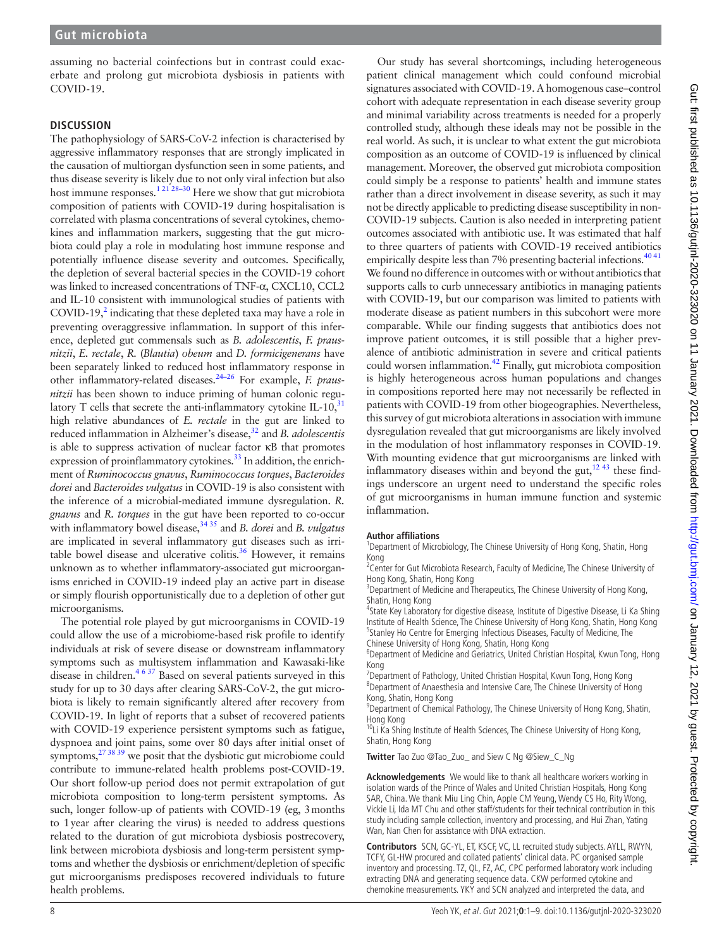assuming no bacterial coinfections but in contrast could exacerbate and prolong gut microbiota dysbiosis in patients with COVID-19.

## **DISCUSSION**

The pathophysiology of SARS-CoV-2 infection is characterised by aggressive inflammatory responses that are strongly implicated in the causation of multiorgan dysfunction seen in some patients, and thus disease severity is likely due to not only viral infection but also host immune responses.<sup>12128–30</sup> Here we show that gut microbiota composition of patients with COVID-19 during hospitalisation is correlated with plasma concentrations of several cytokines, chemokines and inflammation markers, suggesting that the gut microbiota could play a role in modulating host immune response and potentially influence disease severity and outcomes. Specifically, the depletion of several bacterial species in the COVID-19 cohort was linked to increased concentrations of TNF-α, CXCL10, CCL2 and IL-10 consistent with immunological studies of patients with COVID-19, $^2$  indicating that these depleted taxa may have a role in preventing overaggressive inflammation. In support of this inference, depleted gut commensals such as *B. adolescentis*, *F. prausnitzii*, *E. rectale*, *R*. (*Blautia*) *obeum* and *D. formicigenerans* have been separately linked to reduced host inflammatory response in other inflammatory-related diseases.24–26 For example, *F. prausnitzii* has been shown to induce priming of human colonic regulatory T cells that secrete the anti-inflammatory cytokine IL-10, $31$ high relative abundances of *E. rectale* in the gut are linked to reduced inflammation in Alzheimer's disease,<sup>32</sup> and *B. adolescentis* is able to suppress activation of nuclear factor κB that promotes expression of proinflammatory cytokines.<sup>33</sup> In addition, the enrichment of *Ruminococcus gnavus*, *Ruminococcus torques*, *Bacteroides dorei* and *Bacteroides vulgatus* in COVID-19 is also consistent with the inference of a microbial-mediated immune dysregulation. *R. gnavus* and *R. torques* in the gut have been reported to co-occur with inflammatory bowel disease,<sup>34 35</sup> and *B. dorei* and *B. vulgatus* are implicated in several inflammatory gut diseases such as irritable bowel disease and ulcerative colitis.<sup>36</sup> However, it remains unknown as to whether inflammatory-associated gut microorganisms enriched in COVID-19 indeed play an active part in disease or simply flourish opportunistically due to a depletion of other gut microorganisms.

The potential role played by gut microorganisms in COVID-19 could allow the use of a microbiome-based risk profile to identify individuals at risk of severe disease or downstream inflammatory symptoms such as multisystem inflammation and Kawasaki-like disease in children.4 6 37 Based on several patients surveyed in this study for up to 30 days after clearing SARS-CoV-2, the gut microbiota is likely to remain significantly altered after recovery from COVID-19. In light of reports that a subset of recovered patients with COVID-19 experience persistent symptoms such as fatigue, dyspnoea and joint pains, some over 80 days after initial onset of symptoms,  $27 \frac{38}{39}$  we posit that the dysbiotic gut microbiome could contribute to immune-related health problems post-COVID-19. Our short follow-up period does not permit extrapolation of gut microbiota composition to long-term persistent symptoms. As such, longer follow-up of patients with COVID-19 (eg, 3months to 1year after clearing the virus) is needed to address questions related to the duration of gut microbiota dysbiosis postrecovery, link between microbiota dysbiosis and long-term persistent symptoms and whether the dysbiosis or enrichment/depletion of specific gut microorganisms predisposes recovered individuals to future health problems.

Our study has several shortcomings, including heterogeneous patient clinical management which could confound microbial signatures associated with COVID-19. A homogenous case–control cohort with adequate representation in each disease severity group and minimal variability across treatments is needed for a properly controlled study, although these ideals may not be possible in the real world. As such, it is unclear to what extent the gut microbiota composition as an outcome of COVID-19 is influenced by clinical management. Moreover, the observed gut microbiota composition could simply be a response to patients' health and immune states rather than a direct involvement in disease severity, as such it may not be directly applicable to predicting disease susceptibility in non-COVID-19 subjects. Caution is also needed in interpreting patient outcomes associated with antibiotic use. It was estimated that half to three quarters of patients with COVID-19 received antibiotics empirically despite less than 7% presenting bacterial infections.<sup>4041</sup> We found no difference in outcomes with or without antibiotics that supports calls to curb unnecessary antibiotics in managing patients with COVID-19, but our comparison was limited to patients with moderate disease as patient numbers in this subcohort were more comparable. While our finding suggests that antibiotics does not improve patient outcomes, it is still possible that a higher prevalence of antibiotic administration in severe and critical patients could worsen inflammation.<sup>42</sup> Finally, gut microbiota composition is highly heterogeneous across human populations and changes in compositions reported here may not necessarily be reflected in patients with COVID-19 from other biogeographies. Nevertheless, this survey of gut microbiota alterations in association with immune dysregulation revealed that gut microorganisms are likely involved in the modulation of host inflammatory responses in COVID-19. With mounting evidence that gut microorganisms are linked with inflammatory diseases within and beyond the gut,  $12\frac{43}{12}$  these findings underscore an urgent need to understand the specific roles of gut microorganisms in human immune function and systemic inflammation.

#### **Author affiliations**

<sup>1</sup>Department of Microbiology, The Chinese University of Hong Kong, Shatin, Hong Kong

<sup>2</sup> Center for Gut Microbiota Research, Faculty of Medicine, The Chinese University of Hong Kong, Shatin, Hong Kong

<sup>3</sup>Department of Medicine and Therapeutics, The Chinese University of Hong Kong, Shatin, Hong Kong

<sup>4</sup>State Key Laboratory for digestive disease, Institute of Digestive Disease, Li Ka Shing Institute of Health Science, The Chinese University of Hong Kong, Shatin, Hong Kong <sup>5</sup>Stanley Ho Centre for Emerging Infectious Diseases, Faculty of Medicine, The Chinese University of Hong Kong, Shatin, Hong Kong

<sup>6</sup>Department of Medicine and Geriatrics, United Christian Hospital, Kwun Tong, Hong Kong

<sup>7</sup>Department of Pathology, United Christian Hospital, Kwun Tong, Hong Kong <sup>8</sup>Department of Anaesthesia and Intensive Care, The Chinese University of Hong Kong, Shatin, Hong Kong

<sup>9</sup> Department of Chemical Pathology, The Chinese University of Hong Kong, Shatin, Hong Kong

<sup>10</sup>Li Ka Shing Institute of Health Sciences, The Chinese University of Hong Kong, Shatin, Hong Kong

**Twitter** Tao Zuo @Tao\_Zuo\_ and Siew C Ng @Siew\_C\_Ng

**Acknowledgements** We would like to thank all healthcare workers working in isolation wards of the Prince of Wales and United Christian Hospitals, Hong Kong SAR, China. We thank Miu Ling Chin, Apple CM Yeung, Wendy CS Ho, Rity Wong, Vickie Li, Ida MT Chu and other staff/students for their technical contribution in this study including sample collection, inventory and processing, and Hui Zhan, Yating Wan, Nan Chen for assistance with DNA extraction.

**Contributors** SCN, GC-YL, ET, KSCF, VC, LL recruited study subjects. AYLL, RWYN, TCFY, GL-HW procured and collated patients' clinical data. PC organised sample inventory and processing. TZ, QL, FZ, AC, CPC performed laboratory work including extracting DNA and generating sequence data. CKW performed cytokine and chemokine measurements. YKY and SCN analyzed and interpreted the data, and